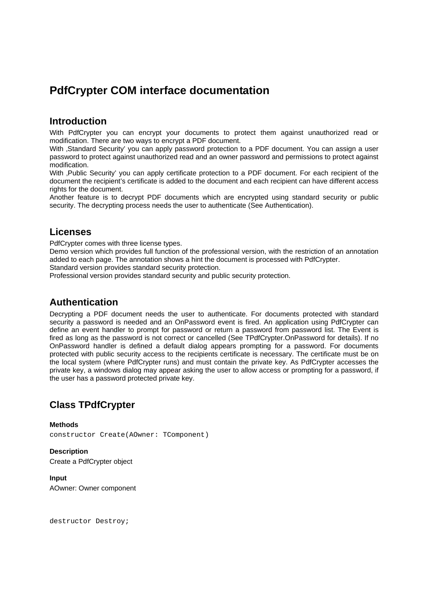# **PdfCrypter COM interface documentation**

## **Introduction**

With PdfCrypter you can encrypt your documents to protect them against unauthorized read or modification. There are two ways to encrypt a PDF document.

With ,Standard Security' you can apply password protection to a PDF document. You can assign a user password to protect against unauthorized read and an owner password and permissions to protect against modification.

With ,Public Security' you can apply certificate protection to a PDF document. For each recipient of the document the recipient's certificate is added to the document and each recipient can have different access rights for the document.

Another feature is to decrypt PDF documents which are encrypted using standard security or public security. The decrypting process needs the user to authenticate (See Authentication).

## **Licenses**

PdfCrypter comes with three license types.

Demo version which provides full function of the professional version, with the restriction of an annotation added to each page. The annotation shows a hint the document is processed with PdfCrypter.

Standard version provides standard security protection.

Professional version provides standard security and public security protection.

## **Authentication**

Decrypting a PDF document needs the user to authenticate. For documents protected with standard security a password is needed and an OnPassword event is fired. An application using PdfCrypter can define an event handler to prompt for password or return a password from password list. The Event is fired as long as the password is not correct or cancelled (See TPdfCrypter.OnPassword for details). If no OnPassword handler is defined a default dialog appears prompting for a password. For documents protected with public security access to the recipients certificate is necessary. The certificate must be on the local system (where PdfCrypter runs) and must contain the private key. As PdfCrypter accesses the private key, a windows dialog may appear asking the user to allow access or prompting for a password, if the user has a password protected private key.

## **Class TPdfCrypter**

**Methods**  constructor Create(AOwner: TComponent)

**Description**  Create a PdfCrypter object

**Input**  AOwner: Owner component

destructor Destroy;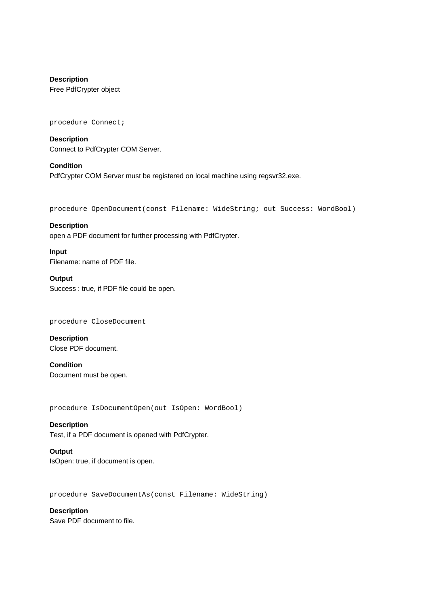**Description**  Free PdfCrypter object

procedure Connect;

**Description**  Connect to PdfCrypter COM Server.

**Condition**  PdfCrypter COM Server must be registered on local machine using regsvr32.exe.

procedure OpenDocument(const Filename: WideString; out Success: WordBool)

**Description**  open a PDF document for further processing with PdfCrypter.

**Input**  Filename: name of PDF file.

## **Output**

Success : true, if PDF file could be open.

procedure CloseDocument

**Description**  Close PDF document.

**Condition**  Document must be open.

procedure IsDocumentOpen(out IsOpen: WordBool)

## **Description**

Test, if a PDF document is opened with PdfCrypter.

#### **Output**

IsOpen: true, if document is open.

procedure SaveDocumentAs(const Filename: WideString)

## **Description**

Save PDF document to file.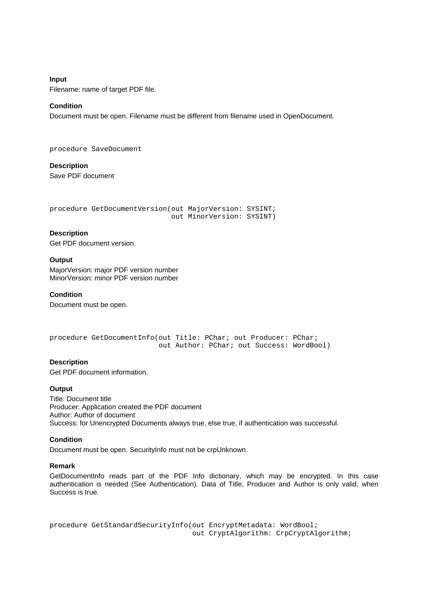**Input**  Filename: name of target PDF file.

## **Condition**

Document must be open. Filename must be different from filename used in OpenDocument.

procedure SaveDocument

**Description**  Save PDF document

```
procedure GetDocumentVersion(out MajorVersion: SYSINT; 
                               out MinorVersion: SYSINT)
```
## **Description**

Get PDF document version.

## **Output**

MajorVersion: major PDF version number MinorVersion: minor PDF version number

### **Condition**

Document must be open.

```
procedure GetDocumentInfo(out Title: PChar; out Producer: PChar; 
                           out Author: PChar; out Success: WordBool)
```
## **Description**

Get PDF document information.

## **Output**

Title: Document title Producer: Application created the PDF document Author: Author of document Success: for Unencrypted Documents always true, else true, if authentication was successful.

## **Condition**

Document must be open. SecurityInfo must not be crpUnknown.

## **Remark**

GetDocumentInfo reads part of the PDF Info dictionary, which may be encrypted. In this case authentication is needed (See Authentication). Data of Title, Producer and Author is only valid, when Success is true.

procedure GetStandardSecurityInfo(out EncryptMetadata: WordBool; out CryptAlgorithm: CrpCryptAlgorithm;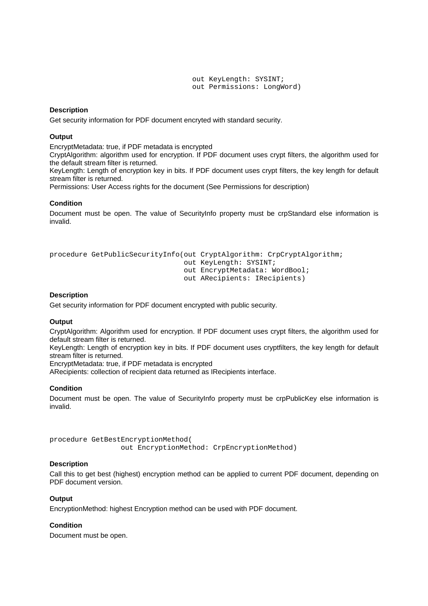out KeyLength: SYSINT; out Permissions: LongWord)

## **Description**

Get security information for PDF document encryted with standard security.

## **Output**

EncryptMetadata: true, if PDF metadata is encrypted

CryptAlgorithm: algorithm used for encryption. If PDF document uses crypt filters, the algorithm used for the default stream filter is returned.

KeyLength: Length of encryption key in bits. If PDF document uses crypt filters, the key length for default stream filter is returned.

Permissions: User Access rights for the document (See Permissions for description)

#### **Condition**

Document must be open. The value of SecurityInfo property must be crpStandard else information is invalid.

```
procedure GetPublicSecurityInfo(out CryptAlgorithm: CrpCryptAlgorithm; 
                                  out KeyLength: SYSINT; 
                                  out EncryptMetadata: WordBool; 
                                   out ARecipients: IRecipients)
```
## **Description**

Get security information for PDF document encrypted with public security.

#### **Output**

CryptAlgorithm: Algorithm used for encryption. If PDF document uses crypt filters, the algorithm used for default stream filter is returned.

KeyLength: Length of encryption key in bits. If PDF document uses cryptfilters, the key length for default stream filter is returned.

EncryptMetadata: true, if PDF metadata is encrypted

ARecipients: collection of recipient data returned as IRecipients interface.

#### **Condition**

Document must be open. The value of SecurityInfo property must be crpPublicKey else information is invalid.

procedure GetBestEncryptionMethod( out EncryptionMethod: CrpEncryptionMethod)

#### **Description**

Call this to get best (highest) encryption method can be applied to current PDF document, depending on PDF document version.

#### **Output**

EncryptionMethod: highest Encryption method can be used with PDF document.

## **Condition**

Document must be open.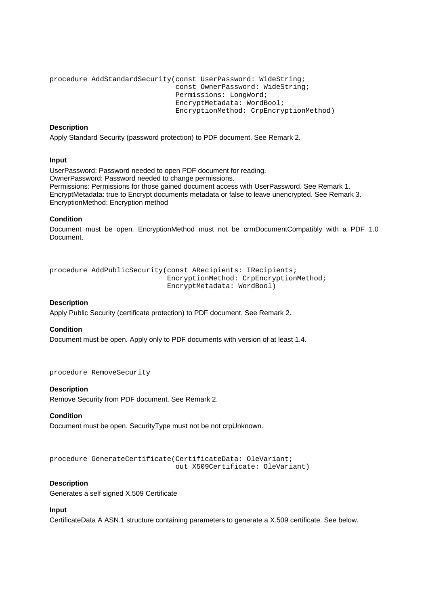```
procedure AddStandardSecurity(const UserPassword: WideString; 
                                const OwnerPassword: WideString; 
                                Permissions: LongWord; 
                                EncryptMetadata: WordBool; 
                                EncryptionMethod: CrpEncryptionMethod)
```
## **Description**

Apply Standard Security (password protection) to PDF document. See Remark 2.

## **Input**

UserPassword: Password needed to open PDF document for reading. OwnerPassword: Password needed to change permissions. Permissions: Permissions for those gained document access with UserPassword. See Remark 1. EncryptMetadata: true to Encrypt documents metadata or false to leave unencrypted. See Remark 3. EncryptionMethod: Encryption method

## **Condition**

Document must be open. EncryptionMethod must not be crmDocumentCompatibly with a PDF 1.0 Document.

```
procedure AddPublicSecurity(const ARecipients: IRecipients; 
                              EncryptionMethod: CrpEncryptionMethod; 
                              EncryptMetadata: WordBool)
```
## **Description**

Apply Public Security (certificate protection) to PDF document. See Remark 2.

## **Condition**

Document must be open. Apply only to PDF documents with version of at least 1.4.

procedure RemoveSecurity

## **Description**

Remove Security from PDF document. See Remark 2.

## **Condition**

Document must be open. SecurityType must not be not crpUnknown.

```
procedure GenerateCertificate(CertificateData: OleVariant; 
                                out X509Certificate: OleVariant)
```
## **Description**

Generates a self signed X.509 Certificate

## **Input**

CertificateData A ASN.1 structure containing parameters to generate a X.509 certificate. See below.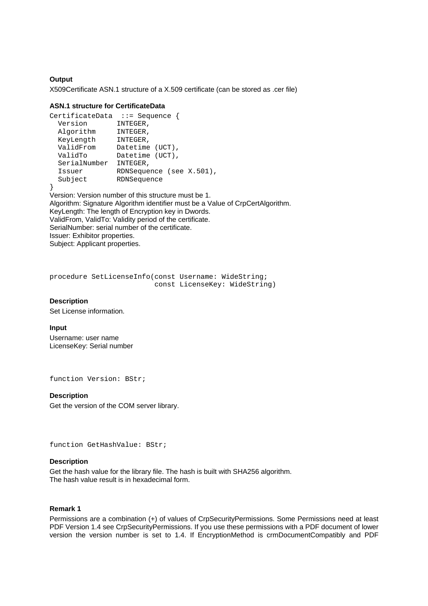## **Output**

X509Certificate ASN.1 structure of a X.509 certificate (can be stored as .cer file)

## **ASN.1 structure for CertificateData**

```
CertificateData ::= Sequence { 
 Version INTEGER, 
 Algorithm INTEGER, 
 KeyLength INTEGER, 
 ValidFrom Datetime (UCT), 
 ValidTo Datetime (UCT), 
  SerialNumber INTEGER, 
 Issuer RDNSequence (see X.501), 
 Subject RDNSequence 
}
```
Version: Version number of this structure must be 1. Algorithm: Signature Algorithm identifier must be a Value of CrpCertAlgorithm. KeyLength: The length of Encryption key in Dwords. ValidFrom, ValidTo: Validity period of the certificate. SerialNumber: serial number of the certificate. Issuer: Exhibitor properties. Subject: Applicant properties.

```
procedure SetLicenseInfo(const Username: WideString; 
                           const LicenseKey: WideString)
```
### **Description**

Set License information.

## **Input**

Username: user name LicenseKey: Serial number

function Version: BStr;

#### **Description**

Get the version of the COM server library.

function GetHashValue: BStr;

#### **Description**

Get the hash value for the library file. The hash is built with SHA256 algorithm. The hash value result is in hexadecimal form.

## **Remark 1**

Permissions are a combination (+) of values of CrpSecurityPermissions. Some Permissions need at least PDF Version 1.4 see CrpSecurityPermissions. If you use these permissions with a PDF document of lower version the version number is set to 1.4. If EncryptionMethod is crmDocumentCompatibly and PDF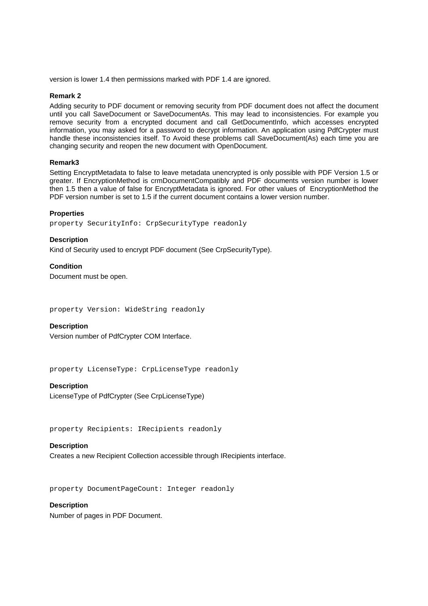version is lower 1.4 then permissions marked with PDF 1.4 are ignored.

#### **Remark 2**

Adding security to PDF document or removing security from PDF document does not affect the document until you call SaveDocument or SaveDocumentAs. This may lead to inconsistencies. For example you remove security from a encrypted document and call GetDocumentInfo, which accesses encrypted information, you may asked for a password to decrypt information. An application using PdfCrypter must handle these inconsistencies itself. To Avoid these problems call SaveDocument(As) each time you are changing security and reopen the new document with OpenDocument.

### **Remark3**

Setting EncryptMetadata to false to leave metadata unencrypted is only possible with PDF Version 1.5 or greater. If EncryptionMethod is crmDocumentCompatibly and PDF documents version number is lower then 1.5 then a value of false for EncryptMetadata is ignored. For other values of EncryptionMethod the PDF version number is set to 1.5 if the current document contains a lower version number.

### **Properties**

property SecurityInfo: CrpSecurityType readonly

### **Description**

Kind of Security used to encrypt PDF document (See CrpSecurityType).

**Condition**  Document must be open.

property Version: WideString readonly

#### **Description**

Version number of PdfCrypter COM Interface.

property LicenseType: CrpLicenseType readonly

#### **Description**

LicenseType of PdfCrypter (See CrpLicenseType)

property Recipients: IRecipients readonly

## **Description**

Creates a new Recipient Collection accessible through IRecipients interface.

property DocumentPageCount: Integer readonly

## **Description**

Number of pages in PDF Document.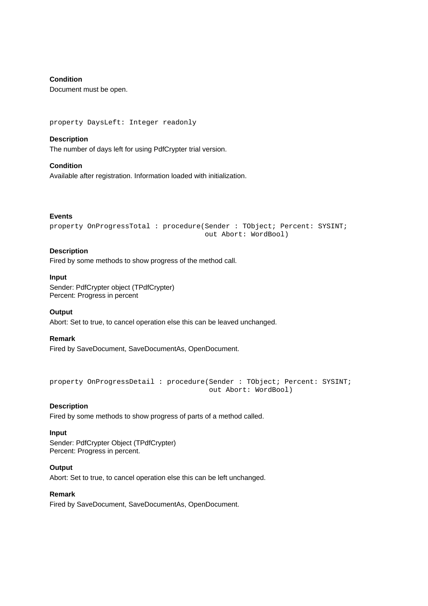## **Condition**

Document must be open.

property DaysLeft: Integer readonly

## **Description**

The number of days left for using PdfCrypter trial version.

**Condition**  Available after registration. Information loaded with initialization.

## **Events**

property OnProgressTotal : procedure(Sender : TObject; Percent: SYSINT; out Abort: WordBool)

## **Description**

Fired by some methods to show progress of the method call.

### **Input**

Sender: PdfCrypter object (TPdfCrypter) Percent: Progress in percent

## **Output**

Abort: Set to true, to cancel operation else this can be leaved unchanged.

## **Remark**

Fired by SaveDocument, SaveDocumentAs, OpenDocument.

```
property OnProgressDetail : procedure(Sender : TObject; Percent: SYSINT; 
                                        out Abort: WordBool)
```
## **Description**

Fired by some methods to show progress of parts of a method called.

#### **Input**

Sender: PdfCrypter Object (TPdfCrypter) Percent: Progress in percent.

## **Output**

Abort: Set to true, to cancel operation else this can be left unchanged.

## **Remark**

Fired by SaveDocument, SaveDocumentAs, OpenDocument.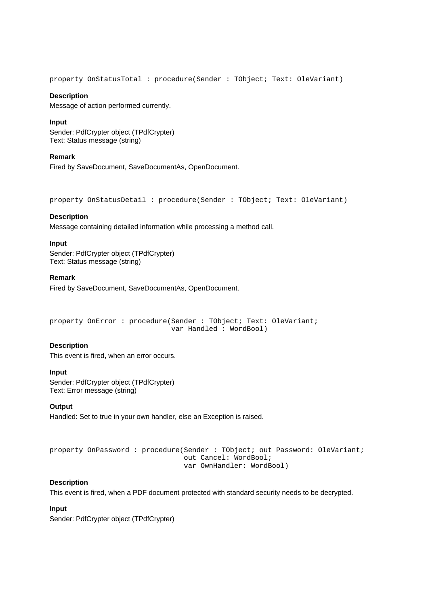property OnStatusTotal : procedure(Sender : TObject; Text: OleVariant)

#### **Description**

Message of action performed currently.

## **Input**

Sender: PdfCrypter object (TPdfCrypter) Text: Status message (string)

### **Remark**

Fired by SaveDocument, SaveDocumentAs, OpenDocument.

property OnStatusDetail : procedure(Sender : TObject; Text: OleVariant)

## **Description**

Message containing detailed information while processing a method call.

## **Input**

Sender: PdfCrypter object (TPdfCrypter) Text: Status message (string)

## **Remark**

Fired by SaveDocument, SaveDocumentAs, OpenDocument.

property OnError : procedure(Sender : TObject; Text: OleVariant; var Handled : WordBool)

## **Description**

This event is fired, when an error occurs.

#### **Input**

Sender: PdfCrypter object (TPdfCrypter) Text: Error message (string)

## **Output**

Handled: Set to true in your own handler, else an Exception is raised.

```
property OnPassword : procedure(Sender : TObject; out Password: OleVariant; 
                                  out Cancel: WordBool; 
                                  var OwnHandler: WordBool)
```
## **Description**

This event is fired, when a PDF document protected with standard security needs to be decrypted.

## **Input**

Sender: PdfCrypter object (TPdfCrypter)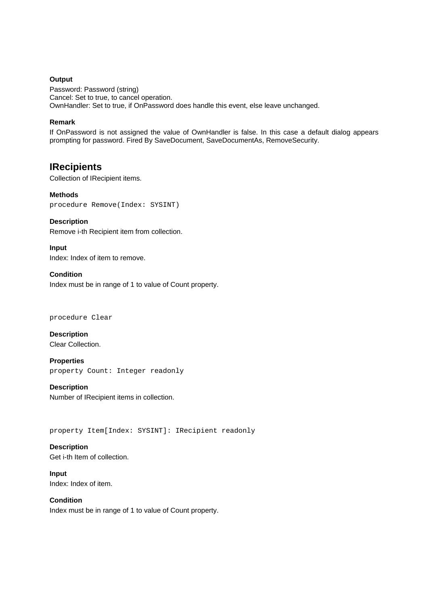## **Output**

Password: Password (string) Cancel: Set to true, to cancel operation. OwnHandler: Set to true, if OnPassword does handle this event, else leave unchanged.

## **Remark**

If OnPassword is not assigned the value of OwnHandler is false. In this case a default dialog appears prompting for password. Fired By SaveDocument, SaveDocumentAs, RemoveSecurity.

## **IRecipients**

Collection of IRecipient items.

**Methods**  procedure Remove(Index: SYSINT)

## **Description**

Remove i-th Recipient item from collection.

**Input**  Index: Index of item to remove.

## **Condition**

Index must be in range of 1 to value of Count property.

#### procedure Clear

**Description**  Clear Collection.

**Properties**  property Count: Integer readonly

**Description**  Number of IRecipient items in collection.

property Item[Index: SYSINT]: IRecipient readonly

## **Description**

Get i-th Item of collection.

**Input**  Index: Index of item.

**Condition**  Index must be in range of 1 to value of Count property.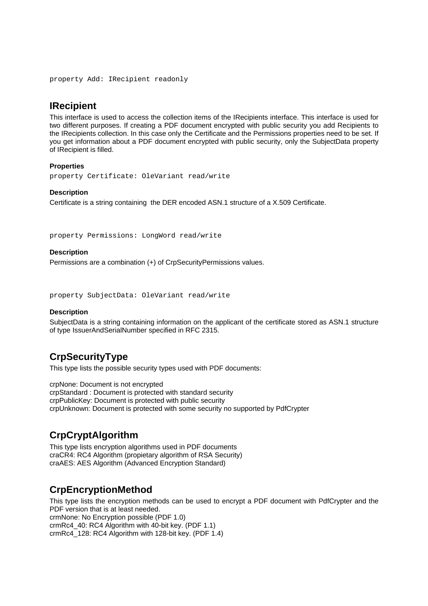property Add: IRecipient readonly

## **IRecipient**

This interface is used to access the collection items of the IRecipients interface. This interface is used for two different purposes. If creating a PDF document encrypted with public security you add Recipients to the IRecipients collection. In this case only the Certificate and the Permissions properties need to be set. If you get information about a PDF document encrypted with public security, only the SubjectData property of IRecipient is filled.

## **Properties**

property Certificate: OleVariant read/write

## **Description**

Certificate is a string containing the DER encoded ASN.1 structure of a X.509 Certificate.

property Permissions: LongWord read/write

## **Description**

Permissions are a combination (+) of CrpSecurityPermissions values.

property SubjectData: OleVariant read/write

## **Description**

SubjectData is a string containing information on the applicant of the certificate stored as ASN.1 structure of type IssuerAndSerialNumber specified in RFC 2315.

## **CrpSecurityType**

This type lists the possible security types used with PDF documents:

crpNone: Document is not encrypted crpStandard : Document is protected with standard security crpPublicKey: Document is protected with public security crpUnknown: Document is protected with some security no supported by PdfCrypter

## **CrpCryptAlgorithm**

This type lists encryption algorithms used in PDF documents craCR4: RC4 Algorithm (propietary algorithm of RSA Security) craAES: AES Algorithm (Advanced Encryption Standard)

## **CrpEncryptionMethod**

This type lists the encryption methods can be used to encrypt a PDF document with PdfCrypter and the PDF version that is at least needed.

crmNone: No Encryption possible (PDF 1.0) crmRc4\_40: RC4 Algorithm with 40-bit key. (PDF 1.1) crmRc4\_128: RC4 Algorithm with 128-bit key. (PDF 1.4)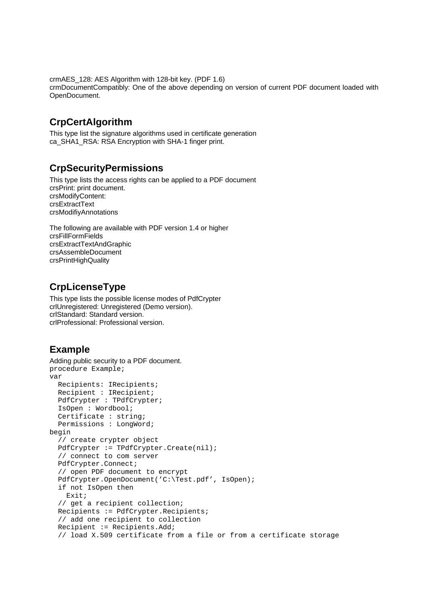crmAES\_128: AES Algorithm with 128-bit key. (PDF 1.6) crmDocumentCompatibly: One of the above depending on version of current PDF document loaded with OpenDocument.

# **CrpCertAlgorithm**

This type list the signature algorithms used in certificate generation ca\_SHA1\_RSA: RSA Encryption with SHA-1 finger print.

## **CrpSecurityPermissions**

This type lists the access rights can be applied to a PDF document crsPrint: print document. crsModifyContent: crsExtractText crsModifiyAnnotations

The following are available with PDF version 1.4 or higher crsFillFormFields crsExtractTextAndGraphic crsAssembleDocument crsPrintHighQuality

# **CrpLicenseType**

This type lists the possible license modes of PdfCrypter crlUnregistered: Unregistered (Demo version). crlStandard: Standard version. crlProfessional: Professional version.

# **Example**

```
Adding public security to a PDF document. 
procedure Example; 
var 
   Recipients: IRecipients; 
   Recipient : IRecipient; 
   PdfCrypter : TPdfCrypter; 
   IsOpen : Wordbool; 
   Certificate : string; 
   Permissions : LongWord; 
begin 
   // create crypter object 
   PdfCrypter := TPdfCrypter.Create(nil); 
   // connect to com server 
   PdfCrypter.Connect; 
   // open PDF document to encrypt 
   PdfCrypter.OpenDocument('C:\Test.pdf', IsOpen); 
   if not IsOpen then 
     Exit; 
   // get a recipient collection; 
   Recipients := PdfCrypter.Recipients; 
   // add one recipient to collection 
   Recipient := Recipients.Add; 
   // load X.509 certificate from a file or from a certificate storage
```